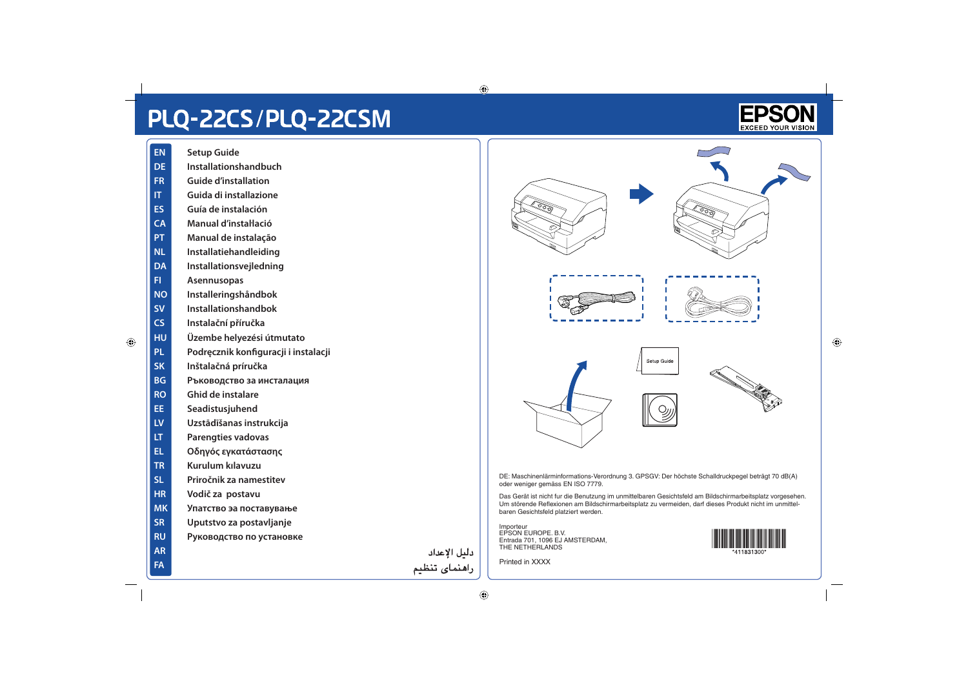## PLQ-22CS/PLQ-22CSM

- **EN Setup Guide**
- **DE Installationshandbuch**
- **FR Guide d'installation**
- **IT Guida di installazione**
- **ES Guía de instalación**
- **CA Manual d'instaŀlació**
- **PT Manual de instalação**
- **NL Installatiehandleiding**
- **DA Installationsvejledning**
- **FI Asennusopas**
- **NO Installeringshåndbok**
- **SV Installationshandbok**
- **CS Instalační příručka**
- **HU Üzembe helyezési útmutato**
- **PL Podręcznik konfiguracji i instalacji**
- **SK Inštalačná príručka**
- **BG Ръководство за инсталация**
- **RO Ghid de instalare**
- **EE Seadistusjuhend**
- **LV Uzstādīšanas instrukcija**
- **LT Parengties vadovas**
- **EL Οδηγός εγκατάστασης**
- **TR Kurulum kılavuzu**
- **SL Priročnik za namestitev**
- **HR Vodič za postavu**

**AR FA**

- **MK Упатство эа поставување**
- **SR Uputstvo za postavljanje**
- **RU Руководство по установке**

دليل الإعداد راهنمای تنظیم



DE: Maschinenlärminformations-Verordnung 3. GPSGV: Der höchste Schalldruckpegel beträgt 70 dB(A) oder weniger gemäss EN ISO 7779.

Das Gerät ist nicht fur die Benutzung im unmittelbaren Gesichtsfeld am Bildschirmarbeitsplatz vorgesehen. Um störende Reflexionen am Bildschirmarbeitsplatz zu vermeiden, darf dieses Produkt nicht im unmittelbaren Gesichtsfeld platziert werden.

Importeur EPSON EUROPE. B.V. Entrada 701, 1096 EJ AMSTERDAM, THE NETHERLANDS

Printed in XXXX



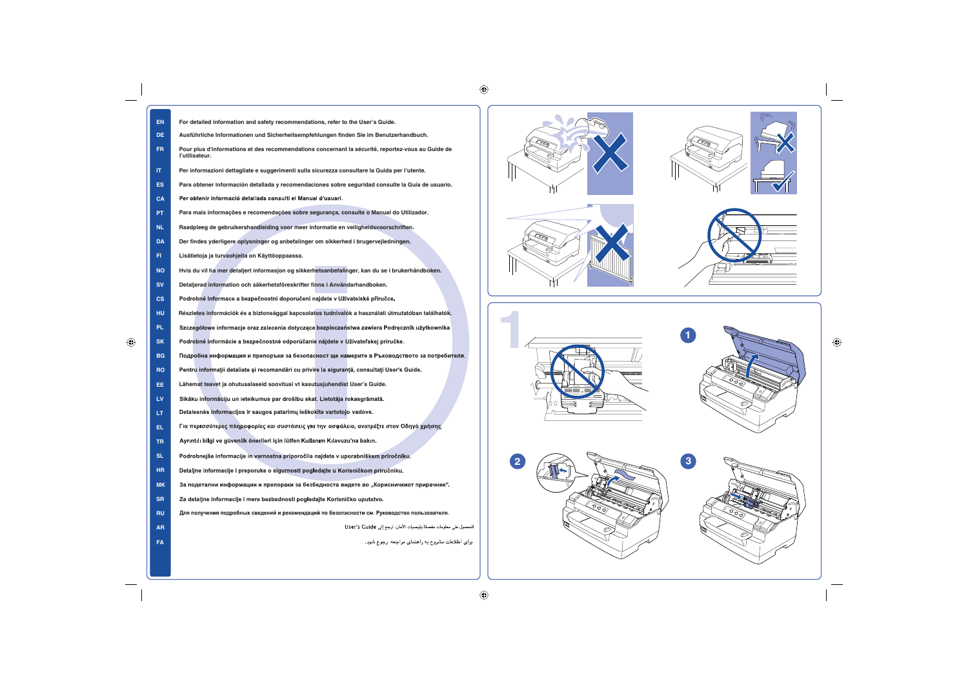| <b>EN</b> | For detailed information and safety recommendations, refer to the User's Guide.                                     |
|-----------|---------------------------------------------------------------------------------------------------------------------|
| DE.       | Ausführliche Informationen und Sicherheitsempfehlungen finden Sie im Benutzerhandbuch.                              |
| FR.       | Pour plus d'informations et des recommendations concernant la sécurité, reportez-vous au Guide de<br>l'utilisateur. |
| IT.       | Per informazioni dettagliate e suggerimenti sulla sicurezza consultare la Guida per l'utente.                       |
| ES.       | Para obtener información detallada y recomendaciones sobre seguridad consulte la Guía de usuario.                   |
| <b>CA</b> | Per obtenir informació detallada consulti el Manual d'usuari.                                                       |
| PT.       | Para mais informações e recomendações sobre segurança, consulte o Manual do Utilizador.                             |
| <b>NL</b> | Raadpleeg de gebruikershandleiding voor meer informatie en veiligheidsvoorschriften.                                |
| <b>DA</b> | Der findes yderligere oplysninger og anbefalinger om sikkerhed i brugervejledningen.                                |
| FI.       | Lisätietoja ja turvaohjeita on Käyttöoppaassa.                                                                      |
| <b>NO</b> | Hvis du vil ha mer detaljert informasjon og sikkerhetsanbefalinger, kan du se i brukerhåndboken.                    |
| <b>SV</b> | Detaljerad information och säkerhetsföreskrifter finns i Användarhandboken.                                         |
| <b>CS</b> | Podrobné informace a bezpečnostní doporučení najdete v Uživatelské příručce.                                        |
| <b>HU</b> | Részletes információk és a biztonsággal kapcsolatos tudnivalók a használati útmutatóban találhatók.                 |
| PL.       | Szczegółowe informacje oraz zalecenia dotyczące bezpieczeństwa zawiera Podręcznik użytkownika                       |
| <b>SK</b> | Podrobné informácie a bezpečnostné odporúčanie nájdete v Užívateľskej príručke.                                     |
| <b>BG</b> | Подробна информация и препоръки за безопасност ще намерите в Ръководството за потребителя.                          |
| <b>RO</b> | Pentru informații detaliate și recomandări cu privire la siguranță, consultați User's Guide.                        |
| EE.       | Lähemat teavet ja ohutusalaseid soovitusi vt kasutusjuhendist User's Guide.                                         |
| LV.       | Sīkāku informāciju un ieteikumus par drošību skat. Lietotāja rokasgrāmatā.                                          |
| LT.       | Detalesnės informacijos ir saugos patarimų ieškokite vartotojo vadove.                                              |
| EL.       | Για περισσότερες πληροφορίες και συστάσεις για την ασφάλεια, ανατρέξτε στον Οδηγό χρήσης                            |
| TR.       | Ayrıntılı bilgi ve güvenlik önerileri için lütfen Kullanım Kılavuzu'na bakın.                                       |
| <b>SL</b> | Podrobnejše informacije in varnostna priporočila najdete v uporabniškem priročniku.                                 |
| HR.       | Detaljne informacije i preporuke o sigurnosti pogledajte u Korisničkom priručniku.                                  |
| <b>MK</b> | За подетални информации и препораки за безбедноста видете во "Корисничкиот прирачник".                              |
| SR.       | Za detaljne informacije i mere bezbednosti pogledajte Korisničko uputstvo.                                          |
| <b>RU</b> | Для получения подробных сведений и рекомендаций по безопасности см. Руководство пользователя.                       |
| <b>AR</b> | للحصول على معلومات مفصلة وتوصيات الأمان، ارجع إلى User's Guide                                                      |
| <b>FA</b> | برای اطلاعات مشروح به راهنمای مراجعه رجوع شود.                                                                      |
|           |                                                                                                                     |











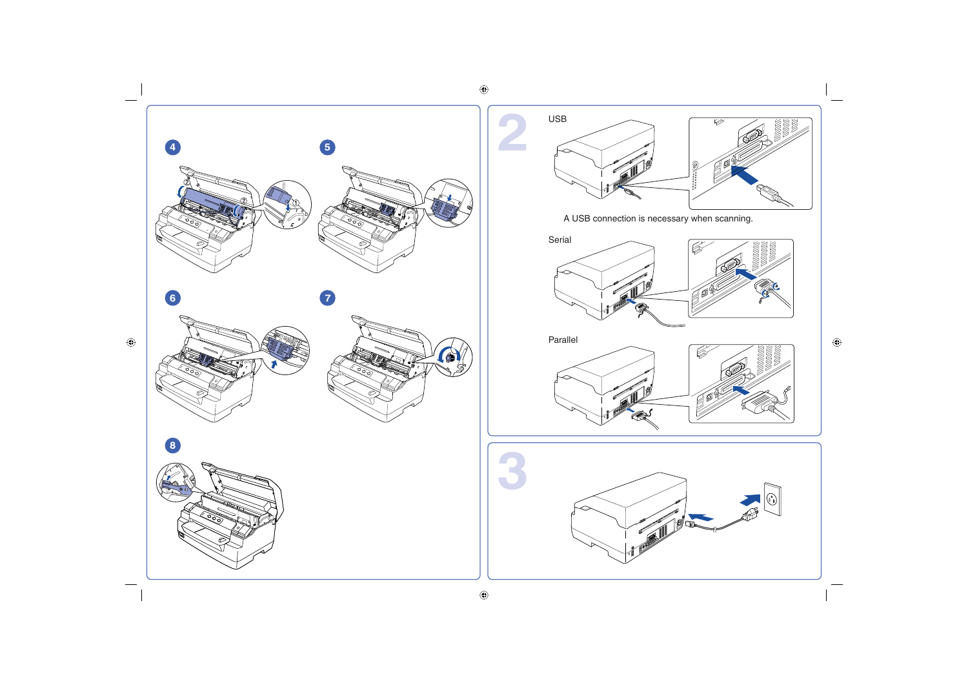